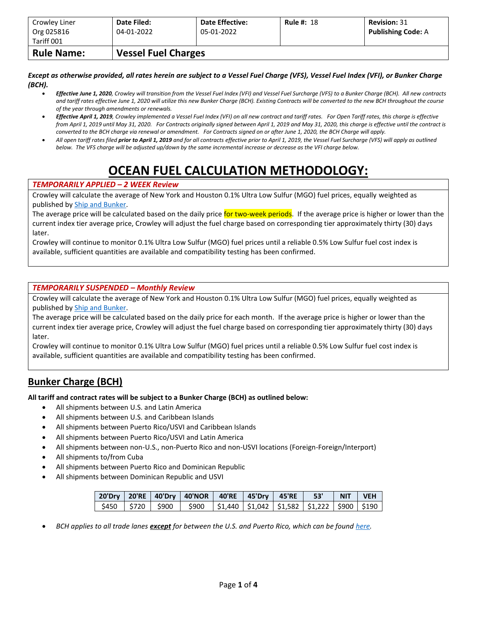| Crowley Liner<br>Org 025816 | Date Filed:<br>04-01-2022  | <b>Date Effective:</b><br>05-01-2022 | <b>Rule #: 18</b> | <b>Revision: 31</b><br><b>Publishing Code: A</b> |
|-----------------------------|----------------------------|--------------------------------------|-------------------|--------------------------------------------------|
| Tariff 001                  |                            |                                      |                   |                                                  |
| <b>Rule Name:</b>           | <b>Vessel Fuel Charges</b> |                                      |                   |                                                  |

*Except as otherwise provided, all rates herein are subject to a Vessel Fuel Charge (VFS), Vessel Fuel Index (VFI), or Bunker Charge (BCH).*

- *Effective June 1, 2020, Crowley will transition from the Vessel Fuel Index (VFI) and Vessel Fuel Surcharge (VFS) to a Bunker Charge (BCH). All new contracts and tariff rates effective June 1, 2020 will utilize this new Bunker Charge (BCH). Existing Contracts will be converted to the new BCH throughout the course of the year through amendments or renewals.*
- *Effective April 1, 2019, Crowley implemented a Vessel Fuel Index (VFI) on all new contract and tariff rates. For Open Tariff rates, this charge is effective from April 1, 2019 until May 31, 2020. For Contracts originally signed between April 1, 2019 and May 31, 2020, this charge is effective until the contract is converted to the BCH charge via renewal or amendment. For Contracts signed on or after June 1, 2020, the BCH Charge will apply.*
- *All open tariff rates filed prior to April 1, 2019 and for all contracts effective prior to April 1, 2019, the Vessel Fuel Surcharge (VFS) will apply as outlined below. The VFS charge will be adjusted up/down by the same incremental increase or decrease as the VFI charge below.*

# **OCEAN FUEL CALCULATION METHODOLOGY:**

#### *TEMPORARILY APPLIED – 2 WEEK Review*

Crowley will calculate the average of New York and Houston 0.1% Ultra Low Sulfur (MGO) fuel prices, equally weighted as published b[y Ship and Bunker.](https://shipandbunker.com/)

The average price will be calculated based on the daily price for two-week periods. If the average price is higher or lower than the current index tier average price, Crowley will adjust the fuel charge based on corresponding tier approximately thirty (30) days later.

Crowley will continue to monitor 0.1% Ultra Low Sulfur (MGO) fuel prices until a reliable 0.5% Low Sulfur fuel cost index is available, sufficient quantities are available and compatibility testing has been confirmed.

#### *TEMPORARILY SUSPENDED – Monthly Review*

Crowley will calculate the average of New York and Houston 0.1% Ultra Low Sulfur (MGO) fuel prices, equally weighted as published b[y Ship and Bunker.](https://shipandbunker.com/)

The average price will be calculated based on the daily price for each month. If the average price is higher or lower than the current index tier average price, Crowley will adjust the fuel charge based on corresponding tier approximately thirty (30) days later.

Crowley will continue to monitor 0.1% Ultra Low Sulfur (MGO) fuel prices until a reliable 0.5% Low Sulfur fuel cost index is available, sufficient quantities are available and compatibility testing has been confirmed.

### **Bunker Charge (BCH)**

**All tariff and contract rates will be subject to a Bunker Charge (BCH) as outlined below:**

- All shipments between U.S. and Latin America
- All shipments between U.S. and Caribbean Islands
- All shipments between Puerto Rico/USVI and Caribbean Islands
- All shipments between Puerto Rico/USVI and Latin America
- All shipments between non-U.S., non-Puerto Rico and non-USVI locations (Foreign-Foreign/Interport)
- All shipments to/from Cuba
- All shipments between Puerto Rico and Dominican Republic
- All shipments between Dominican Republic and USVI

|  |                                                                                                     |  | 20'Dry   20'RE   40'Dry   40'NOR   40'RE   45'Dry   45'RE   53'   NIT   VEH |  |  |
|--|-----------------------------------------------------------------------------------------------------|--|-----------------------------------------------------------------------------|--|--|
|  | $\frac{1}{2}$ \$450   \$720   \$900   \$900   \$1,440   \$1,042   \$1,582   \$1,222   \$900   \$190 |  |                                                                             |  |  |

• *BCH applies to all trade lanes except for between the U.S. and Puerto Rico, which can be foun[d here.](https://www.crowley.com/logistics/resources/rates-tariffs/stb/#18-1-vessel-fuel-surcharge-between-the-continental-us-and-puerto-rico)*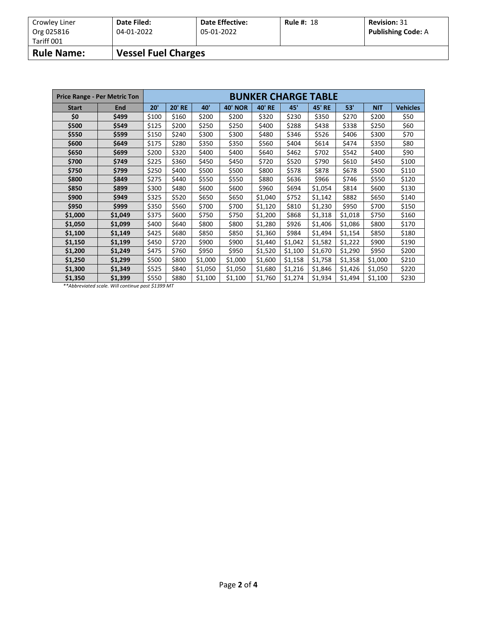| Crowley Liner<br>Org 025816 | Date Filed:<br>04-01-2022  | <b>Date Effective:</b><br>05-01-2022 | <b>Rule #: 18</b> | <b>Revision: 31</b><br><b>Publishing Code: A</b> |
|-----------------------------|----------------------------|--------------------------------------|-------------------|--------------------------------------------------|
| Tariff 001                  |                            |                                      |                   |                                                  |
| <b>Rule Name:</b>           | <b>Vessel Fuel Charges</b> |                                      |                   |                                                  |

|              | <b>Price Range - Per Metric Ton</b> | <b>BUNKER CHARGE TABLE</b> |               |                 |                |               |         |               |         |            |                 |  |
|--------------|-------------------------------------|----------------------------|---------------|-----------------|----------------|---------------|---------|---------------|---------|------------|-----------------|--|
| <b>Start</b> | End                                 | 20'                        | <b>20' RE</b> | 40 <sup>'</sup> | <b>40' NOR</b> | <b>40' RE</b> | 45'     | <b>45' RE</b> | 53'     | <b>NIT</b> | <b>Vehicles</b> |  |
| \$0          | \$499                               | \$100                      | \$160         | \$200           | \$320<br>\$200 |               | \$230   | \$350         | \$270   | \$200      | \$50            |  |
| \$500        | \$549                               | \$125                      | \$200         | \$250           | \$250          | \$400         | \$288   | \$438         | \$338   | \$250      | \$60            |  |
| \$550        | \$599                               | \$150                      | \$240         | \$300           | \$300          | \$480         | \$346   | \$526         | \$406   | \$300      | \$70            |  |
| \$600        | \$649                               | \$175                      | \$280         | \$350           | \$350          | \$560         | \$404   | \$614         | \$474   | \$350      | \$80            |  |
| \$650        | \$699                               | \$200                      | \$320         | \$400           | \$400          | \$640         | \$462   | \$702         | \$542   | \$400      | \$90            |  |
| \$700        | \$749                               | \$225                      | \$360         | \$450           | \$450          | \$720         | \$520   | \$790         | \$610   | \$450      | \$100           |  |
| \$750        | \$799                               | \$250                      | \$400         | \$500           | \$500          | \$800         | \$578   | \$878         | \$678   | \$500      | \$110           |  |
| \$800        | \$849                               | \$275                      | \$440         | \$550           | \$550          | \$880         | \$636   | \$966         | \$746   | \$550      | \$120           |  |
| \$850        | \$899                               | \$300                      | \$480         | \$600           | \$600          | \$960         | \$694   | \$1,054       | \$814   | \$600      | \$130           |  |
| \$900        | \$949                               | \$325                      | \$520         | \$650           | \$650          | \$1,040       | \$752   | \$1,142       | \$882   | \$650      | \$140           |  |
| \$950        | \$999                               | \$350                      | \$560         | \$700           | \$700          | \$1,120       | \$810   | \$1,230       | \$950   | \$700      | \$150           |  |
| \$1,000      | \$1,049                             | \$375                      | \$600         | \$750           | \$750          | \$1,200       | \$868   | \$1,318       | \$1,018 | \$750      | \$160           |  |
| \$1,050      | \$1,099                             | \$400                      | \$640         | \$800           | \$800          | \$1,280       | \$926   | \$1,406       | \$1,086 | \$800      | \$170           |  |
| \$1,100      | \$1,149                             | \$425                      | \$680         | \$850           | \$850          | \$1,360       | \$984   | \$1,494       | \$1,154 | \$850      | \$180           |  |
| \$1,150      | \$1,199                             | \$450                      | \$720         | \$900           | \$900          | \$1,440       | \$1,042 | \$1,582       | \$1,222 | \$900      | \$190           |  |
| \$1,200      | \$1,249                             | \$475                      | \$760         | \$950           | \$950          | \$1,520       | \$1,100 | \$1,670       | \$1,290 | \$950      | \$200           |  |
| \$1,250      | \$1,299                             | \$500                      | \$800         | \$1,000         | \$1,000        | \$1,600       | \$1,158 | \$1,758       | \$1,358 | \$1,000    | \$210           |  |
| \$1,300      | \$1,349                             | \$525                      | \$840         | \$1,050         | \$1,050        | \$1,680       | \$1,216 | \$1,846       | \$1,426 | \$1,050    | \$220           |  |
| \$1,350      | \$1,399                             | \$550                      | \$880         | \$1,100         | \$1,100        | \$1,760       | \$1,274 | \$1,934       | \$1,494 | \$1,100    | \$230           |  |

*\*\*Abbreviated scale. Will continue past \$1399 MT*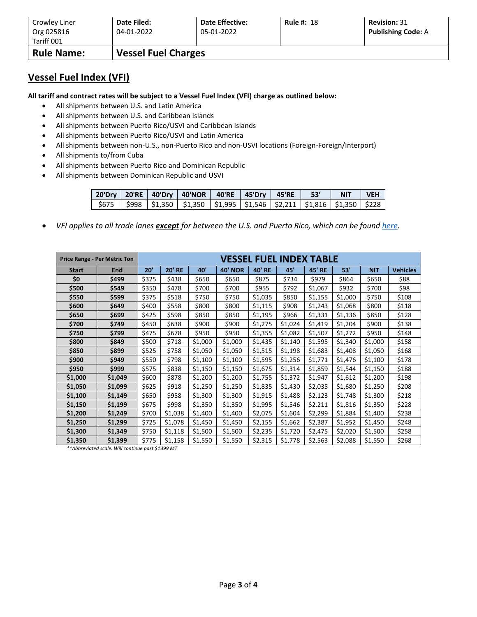| Crowley Liner            | Date Filed:                | <b>Date Effective:</b> | <b>Rule #: 18</b> | <b>Revision: 31</b>       |
|--------------------------|----------------------------|------------------------|-------------------|---------------------------|
| Org 025816<br>Tariff 001 | 04-01-2022                 | 05-01-2022             |                   | <b>Publishing Code: A</b> |
| <b>Rule Name:</b>        | <b>Vessel Fuel Charges</b> |                        |                   |                           |

### **Vessel Fuel Index (VFI)**

**All tariff and contract rates will be subject to a Vessel Fuel Index (VFI) charge as outlined below:**

- All shipments between U.S. and Latin America
- All shipments between U.S. and Caribbean Islands
- All shipments between Puerto Rico/USVI and Caribbean Islands
- All shipments between Puerto Rico/USVI and Latin America
- All shipments between non-U.S., non-Puerto Rico and non-USVI locations (Foreign-Foreign/Interport)
- All shipments to/from Cuba
- All shipments between Puerto Rico and Dominican Republic
- All shipments between Dominican Republic and USVI

|  | 20'Dry   20'RE   40'Dry   40'NOR   40'RE   45'Dry   45'RE   53'                                                                                                                        |  |  | NIT VEH |  |  |
|--|----------------------------------------------------------------------------------------------------------------------------------------------------------------------------------------|--|--|---------|--|--|
|  | $\frac{1}{2675}$ $\frac{1}{2998}$ $\frac{1}{21.350}$ $\frac{1}{21.350}$ $\frac{1}{21.995}$ $\frac{1}{21.546}$ $\frac{1}{22.211}$ $\frac{1}{21.816}$ $\frac{1}{21.350}$ $\frac{1}{228}$ |  |  |         |  |  |

• *VFI applies to all trade lanes except for between the U.S. and Puerto Rico, which can be foun[d here.](https://www.crowley.com/logistics/resources/rates-tariffs/stb/#18-1-vessel-fuel-surcharge-between-the-continental-us-and-puerto-rico)*

|              | <b>Price Range - Per Metric Ton</b> |       |               |         |                |               | VESSEL FUEL INDEX TABLE |               |         |            |                 |
|--------------|-------------------------------------|-------|---------------|---------|----------------|---------------|-------------------------|---------------|---------|------------|-----------------|
| <b>Start</b> | End                                 | 20'   | <b>20' RE</b> | 40'     | <b>40' NOR</b> | <b>40' RE</b> | 45'                     | <b>45' RE</b> | 53'     | <b>NIT</b> | <b>Vehicles</b> |
| \$0          | \$499                               | \$325 | \$438         | \$650   | \$650          | \$875         | \$734                   | \$979         | \$864   | \$650      | \$88            |
| \$500        | \$549                               | \$350 | \$478         | \$700   | \$700          | \$955         | \$792                   | \$1,067       | \$932   | \$700      | \$98            |
| \$550        | \$599                               | \$375 | \$518         | \$750   | \$750          | \$1,035       | \$850                   | \$1,155       | \$1,000 | \$750      | \$108           |
| \$600        | \$649                               | \$400 | \$558         | \$800   | \$800          | \$1,115       | \$908                   | \$1,243       | \$1,068 | \$800      | \$118           |
| \$650        | \$699                               | \$425 | \$598         | \$850   | \$850          | \$1,195       | \$966                   | \$1,331       | \$1,136 | \$850      | \$128           |
| \$700        | \$749                               | \$450 | \$638         | \$900   | \$900          | \$1,275       | \$1,024                 | \$1,419       | \$1,204 | \$900      | \$138           |
| \$750        | \$799                               | \$475 | \$678         | \$950   | \$950          | \$1,355       | \$1,082                 | \$1,507       | \$1,272 | \$950      | \$148           |
| \$800        | \$849                               | \$500 | \$718         | \$1,000 | \$1,000        | \$1,435       | \$1,140                 | \$1,595       | \$1,340 | \$1,000    | \$158           |
| \$850        | \$899                               | \$525 | \$758         | \$1,050 | \$1,050        | \$1,515       | \$1,198                 | \$1,683       | \$1,408 | \$1,050    | \$168           |
| \$900        | \$949                               | \$550 | \$798         | \$1,100 | \$1,100        | \$1,595       | \$1,256                 | \$1,771       | \$1,476 | \$1,100    | \$178           |
| \$950        | \$999                               | \$575 | \$838         | \$1,150 | \$1,150        | \$1,675       | \$1,314                 | \$1,859       | \$1,544 | \$1,150    | \$188           |
| \$1,000      | \$1,049                             | \$600 | \$878         | \$1,200 | \$1,200        | \$1,755       | \$1,372                 | \$1,947       | \$1,612 | \$1,200    | \$198           |
| \$1,050      | \$1,099                             | \$625 | \$918         | \$1,250 | \$1,250        | \$1,835       | \$1,430                 | \$2,035       | \$1,680 | \$1,250    | \$208           |
| \$1,100      | \$1,149                             | \$650 | \$958         | \$1,300 | \$1,300        | \$1,915       | \$1,488                 | \$2,123       | \$1,748 | \$1,300    | \$218           |
| \$1,150      | \$1,199                             | \$675 | \$998         | \$1,350 | \$1,350        | \$1,995       | \$1,546                 | \$2,211       | \$1,816 | \$1,350    | \$228           |
| \$1,200      | \$1,249                             | \$700 | \$1,038       | \$1,400 | \$1,400        | \$2,075       | \$1,604                 | \$2,299       | \$1,884 | \$1,400    | \$238           |
| \$1,250      | \$1,299                             | \$725 | \$1,078       | \$1,450 | \$1,450        | \$2,155       | \$1,662                 | \$2,387       | \$1,952 | \$1,450    | \$248           |
| \$1,300      | \$1,349                             | \$750 | \$1,118       | \$1,500 | \$1,500        | \$2,235       | \$1,720                 | \$2,475       | \$2,020 | \$1,500    | \$258           |
| \$1,350      | \$1,399                             | \$775 | \$1,158       | \$1,550 | \$1,550        | \$2,315       | \$1,778                 | \$2,563       | \$2,088 | \$1,550    | \$268           |

*\*\*Abbreviated scale. Will continue past \$1399 MT*